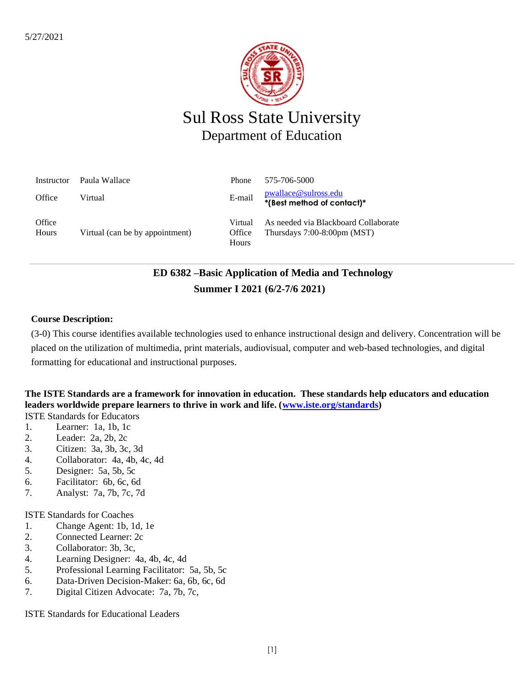

# Sul Ross State University Department of Education

| Instructor      | Paula Wallace                   | <b>Phone</b>               | 575-706-5000                                                             |
|-----------------|---------------------------------|----------------------------|--------------------------------------------------------------------------|
| Office          | Virtual                         | E-mail                     | pwallace@sulross.edu<br>*(Best method of contact)*                       |
| Office<br>Hours | Virtual (can be by appointment) | Virtual<br>Office<br>Hours | As needed via Blackboard Collaborate<br>Thursdays $7:00-8:00$ pm $(MST)$ |

# **ED 6382 –Basic Application of Media and Technology Summer I 2021 (6/2-7/6 2021)**

### **Course Description:**

(3-0) This course identifies available technologies used to enhance instructional design and delivery. Concentration will be placed on the utilization of multimedia, print materials, audiovisual, computer and web-based technologies, and digital formatting for educational and instructional purposes.

### **The ISTE Standards are a framework for innovation in education. These standards help educators and education**  leaders worldwide prepare learners to thrive in work and life. [\(www.iste.org/standards\)](http://www.iste.org/standards) ISTE Standards for Educators

- 1. Learner: 1a, 1b, 1c
- 2. Leader: 2a, 2b, 2c
- 3. Citizen: 3a, 3b, 3c, 3d
- 4. Collaborator: 4a, 4b, 4c, 4d
- 5. Designer: 5a, 5b, 5c
- 6. Facilitator: 6b, 6c, 6d
- 7. Analyst: 7a, 7b, 7c, 7d

ISTE Standards for Coaches

- 1. Change Agent: 1b, 1d, 1e
- 2. Connected Learner: 2c
- 3. Collaborator: 3b, 3c,
- 4. Learning Designer: 4a, 4b, 4c, 4d
- 5. Professional Learning Facilitator: 5a, 5b, 5c
- 6. Data-Driven Decision-Maker: 6a, 6b, 6c, 6d
- 7. Digital Citizen Advocate: 7a, 7b, 7c,

ISTE Standards for Educational Leaders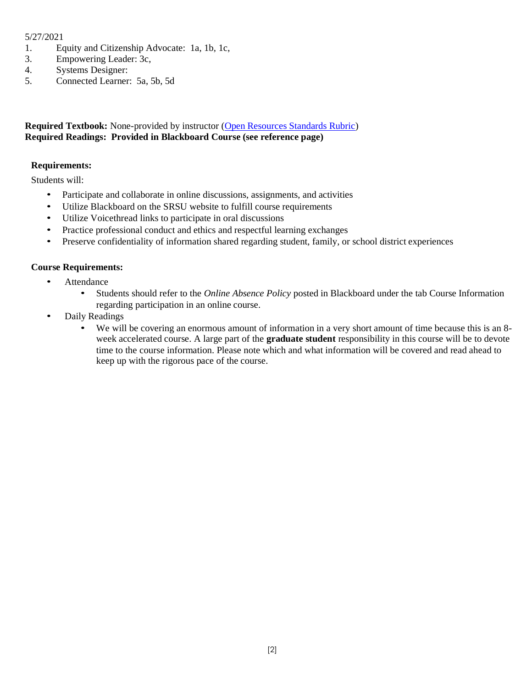### 5/27/2021

- 1. Equity and Citizenship Advocate: 1a, 1b, 1c,
- 3. Empowering Leader: 3c,
- 4. Systems Designer:
- 5. Connected Learner: 5a, 5b, 5d

### **Required Textbook:** None-provided by instructor [\(Open Resources Standards Rubric\)](https://www.achieve.org/files/AchieveOERRubrics.pdf) **Required Readings: Provided in Blackboard Course (see reference page)**

### **Requirements:**

Students will:

- Participate and collaborate in online discussions, assignments, and activities
- Utilize Blackboard on the SRSU website to fulfill course requirements
- Utilize Voicethread links to participate in oral discussions
- Practice professional conduct and ethics and respectful learning exchanges
- Preserve confidentiality of information shared regarding student, family, or school district experiences

### **Course Requirements:**

- Attendance
	- Students should refer to the *Online Absence Policy* posted in Blackboard under the tab Course Information regarding participation in an online course.
- Daily Readings
	- We will be covering an enormous amount of information in a very short amount of time because this is an 8 week accelerated course. A large part of the **graduate student** responsibility in this course will be to devote time to the course information. Please note which and what information will be covered and read ahead to keep up with the rigorous pace of the course.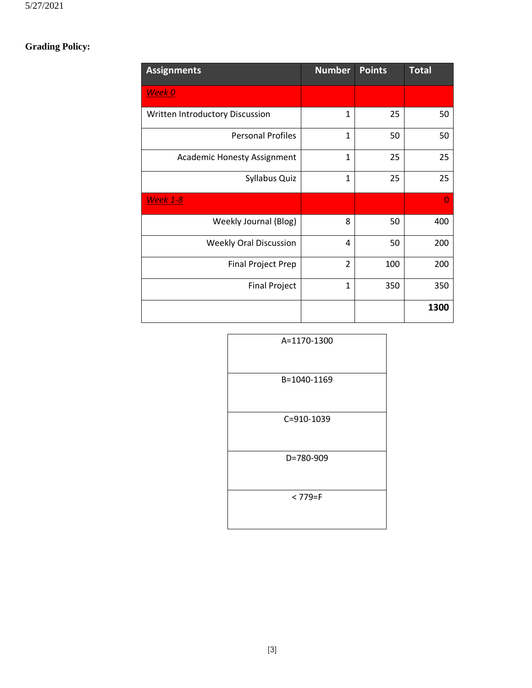# **Grading Policy:**

| <b>Assignments</b>              | <b>Number</b>  | <b>Points</b> | <b>Total</b> |
|---------------------------------|----------------|---------------|--------------|
| Week 0                          |                |               |              |
| Written Introductory Discussion | $\mathbf{1}$   | 25            | 50           |
| <b>Personal Profiles</b>        | $\mathbf{1}$   | 50            | 50           |
| Academic Honesty Assignment     | $\mathbf{1}$   | 25            | 25           |
| Syllabus Quiz                   | $\mathbf{1}$   | 25            | 25           |
| <b>Week 1-8</b>                 |                |               | O            |
| Weekly Journal (Blog)           | 8              | 50            | 400          |
| <b>Weekly Oral Discussion</b>   | 4              | 50            | 200          |
| <b>Final Project Prep</b>       | $\overline{2}$ | 100           | 200          |
| <b>Final Project</b>            | $\mathbf{1}$   | 350           | 350          |
|                                 |                |               | 1300         |

| A=1170-1300 |
|-------------|
| B=1040-1169 |
| C=910-1039  |
| D=780-909   |
| $< 779 = F$ |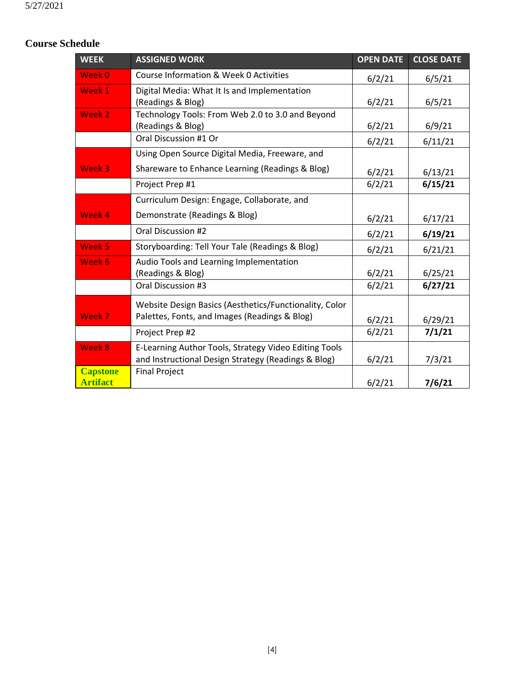## **Course Schedule**

| <b>WEEK</b>                        | <b>ASSIGNED WORK</b>                                                                                         | <b>OPEN DATE</b> | <b>CLOSE DATE</b> |
|------------------------------------|--------------------------------------------------------------------------------------------------------------|------------------|-------------------|
| Week 0                             | Course Information & Week 0 Activities                                                                       | 6/2/21           | 6/5/21            |
| Week 1                             | Digital Media: What It Is and Implementation<br>(Readings & Blog)                                            | 6/2/21           | 6/5/21            |
| Week 2                             | Technology Tools: From Web 2.0 to 3.0 and Beyond<br>(Readings & Blog)                                        | 6/2/21           | 6/9/21            |
|                                    | Oral Discussion #1 Or                                                                                        | 6/2/21           | 6/11/21           |
|                                    | Using Open Source Digital Media, Freeware, and                                                               |                  |                   |
| Week 3                             | Shareware to Enhance Learning (Readings & Blog)                                                              | 6/2/21           | 6/13/21           |
|                                    | Project Prep #1                                                                                              | 6/2/21           | 6/15/21           |
|                                    | Curriculum Design: Engage, Collaborate, and                                                                  |                  |                   |
| Week 4                             | Demonstrate (Readings & Blog)                                                                                | 6/2/21           | 6/17/21           |
|                                    | Oral Discussion #2                                                                                           | 6/2/21           | 6/19/21           |
| Week 5                             | Storyboarding: Tell Your Tale (Readings & Blog)                                                              | 6/2/21           | 6/21/21           |
| Week 6                             | Audio Tools and Learning Implementation<br>(Readings & Blog)                                                 | 6/2/21           | 6/25/21           |
|                                    | Oral Discussion #3                                                                                           | 6/2/21           | 6/27/21           |
| Week 7                             | Website Design Basics (Aesthetics/Functionality, Color<br>Palettes, Fonts, and Images (Readings & Blog)      | 6/2/21           | 6/29/21           |
|                                    | Project Prep #2                                                                                              | 6/2/21           | 7/1/21            |
| Week 8                             | E-Learning Author Tools, Strategy Video Editing Tools<br>and Instructional Design Strategy (Readings & Blog) | 6/2/21           | 7/3/21            |
| <b>Capstone</b><br><b>Artifact</b> | <b>Final Project</b>                                                                                         | 6/2/21           | 7/6/21            |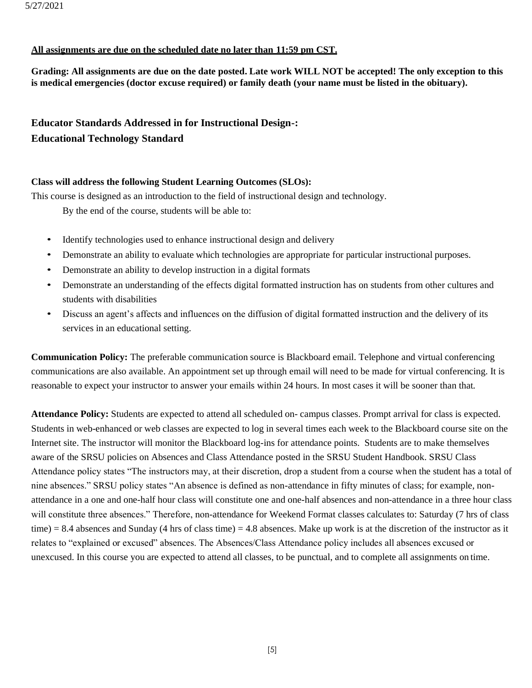### **All assignments are due on the scheduled date no later than 11:59 pm CST.**

**Grading: All assignments are due on the date posted. Late work WILL NOT be accepted! The only exception to this is medical emergencies (doctor excuse required) or family death (your name must be listed in the obituary).**

### **Educator Standards Addressed in for Instructional Design-: Educational Technology Standard**

### **Class will address the following Student Learning Outcomes (SLOs):**

This course is designed as an introduction to the field of instructional design and technology.

By the end of the course, students will be able to:

- Identify technologies used to enhance instructional design and delivery
- Demonstrate an ability to evaluate which technologies are appropriate for particular instructional purposes.
- Demonstrate an ability to develop instruction in a digital formats
- Demonstrate an understanding of the effects digital formatted instruction has on students from other cultures and students with disabilities
- Discuss an agent's affects and influences on the diffusion of digital formatted instruction and the delivery of its services in an educational setting.

**Communication Policy:** The preferable communication source is Blackboard email. Telephone and virtual conferencing communications are also available. An appointment set up through email will need to be made for virtual conferencing. It is reasonable to expect your instructor to answer your emails within 24 hours. In most cases it will be sooner than that.

**Attendance Policy:** Students are expected to attend all scheduled on- campus classes. Prompt arrival for class is expected. Students in web-enhanced or web classes are expected to log in several times each week to the Blackboard course site on the Internet site. The instructor will monitor the Blackboard log-ins for attendance points. Students are to make themselves aware of the SRSU policies on Absences and Class Attendance posted in the SRSU Student Handbook. SRSU Class Attendance policy states "The instructors may, at their discretion, drop a student from a course when the student has a total of nine absences." SRSU policy states "An absence is defined as non-attendance in fifty minutes of class; for example, nonattendance in a one and one-half hour class will constitute one and one-half absences and non-attendance in a three hour class will constitute three absences." Therefore, non-attendance for Weekend Format classes calculates to: Saturday (7 hrs of class time) = 8.4 absences and Sunday (4 hrs of class time) = 4.8 absences. Make up work is at the discretion of the instructor as it relates to "explained or excused" absences. The Absences/Class Attendance policy includes all absences excused or unexcused. In this course you are expected to attend all classes, to be punctual, and to complete all assignments on time.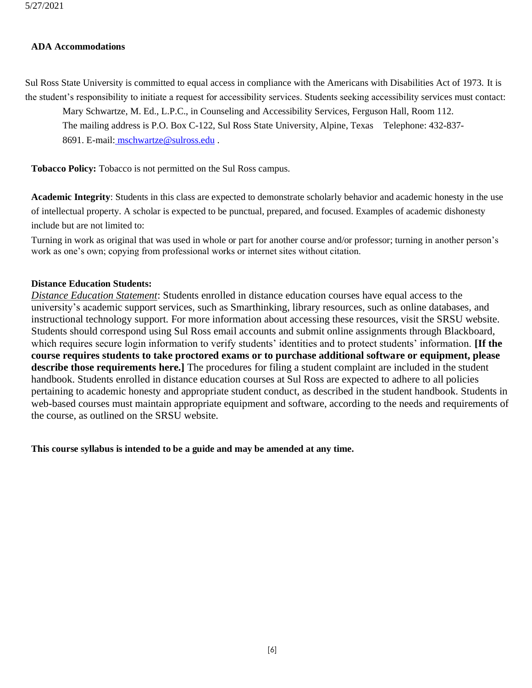#### **ADA Accommodations**

Sul Ross State University is committed to equal access in compliance with the Americans with Disabilities Act of 1973. It is the student's responsibility to initiate a request for accessibility services. Students seeking accessibility services must contact:

Mary Schwartze, M. Ed., L.P.C., in Counseling and Accessibility Services, Ferguson Hall, Room 112. The mailing address is P.O. Box C-122, Sul Ross State University, Alpine, Texas Telephone: 432-837-

8691. E-mail: [mschwartze@sulross.edu](mailto:%20%20mschwartze@sulross.edu) .

**Tobacco Policy:** Tobacco is not permitted on the Sul Ross campus.

**Academic Integrity**: Students in this class are expected to demonstrate scholarly behavior and academic honesty in the use of intellectual property. A scholar is expected to be punctual, prepared, and focused. Examples of academic dishonesty include but are not limited to:

Turning in work as original that was used in whole or part for another course and/or professor; turning in another person's work as one's own; copying from professional works or internet sites without citation.

### **Distance Education Students:**

*Distance Education Statement*: Students enrolled in distance education courses have equal access to the university's academic support services, such as Smarthinking, library resources, such as online databases, and instructional technology support. For more information about accessing these resources, visit the SRSU website. Students should correspond using Sul Ross email accounts and submit online assignments through Blackboard, which requires secure login information to verify students' identities and to protect students' information. **[If the course requires students to take proctored exams or to purchase additional software or equipment, please describe those requirements here.]** The procedures for filing a student complaint are included in the student handbook. Students enrolled in distance education courses at Sul Ross are expected to adhere to all policies pertaining to academic honesty and appropriate student conduct, as described in the student handbook. Students in web-based courses must maintain appropriate equipment and software, according to the needs and requirements of the course, as outlined on the SRSU website.

**This course syllabus is intended to be a guide and may be amended at any time.**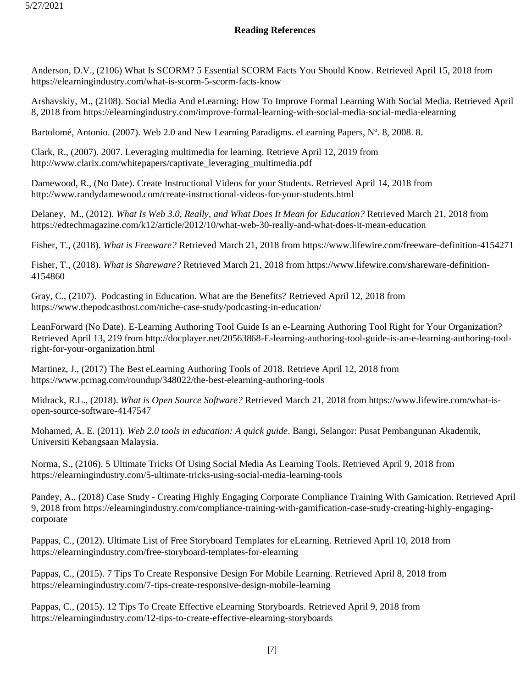### **Reading References**

Anderson, D.V., (2106) What Is SCORM? 5 Essential SCORM Facts You Should Know. Retrieved April 15, 2018 from https://elearningindustry.com/what-is-scorm-5-scorm-facts-know

Arshavskiy, M., (2108). Social Media And eLearning: How To Improve Formal Learning With Social Media. Retrieved April 8, 2018 from https://elearningindustry.com/improve-formal-learning-with-social-media-social-media-elearning

Bartolomé, Antonio. (2007). Web 2.0 and New Learning Paradigms. eLearning Papers, N° 8, 2008. 8.

Clark, R., (2007). 2007. Leveraging multimedia for learning. Retrieve April 12, 2019 from http://www.clarix.com/whitepapers/captivate\_leveraging\_multimedia.pdf

Damewood, R., (No Date). Create Instructional Videos for your Students. Retrieved April 14, 2018 from http://www.randydamewood.com/create-instructional-videos-for-your-students.html

Delaney, M., (2012). *What Is Web 3.0, Really, and What Does It Mean for Education?* Retrieved March 21, 2018 from https://edtechmagazine.com/k12/article/2012/10/what-web-30-really-and-what-does-it-mean-education

Fisher, T., (2018). *What is Freeware?* Retrieved March 21, 2018 from https://www.lifewire.com/freeware-definition-4154271

Fisher, T., (2018). *What is Shareware?* Retrieved March 21, 2018 from https://www.lifewire.com/shareware-definition-4154860

Gray, C., (2107). Podcasting in Education. What are the Benefits? Retrieved April 12, 2018 from https://www.thepodcasthost.com/niche-case-study/podcasting-in-education/

LeanForward (No Date). E-Learning Authoring Tool Guide Is an e-Learning Authoring Tool Right for Your Organization? Retrieved April 13, 219 from http://docplayer.net/20563868-E-learning-authoring-tool-guide-is-an-e-learning-authoring-toolright-for-your-organization.html

Martinez, J., (2017) The Best eLearning Authoring Tools of 2018. Retrieve April 12, 2018 from https://www.pcmag.com/roundup/348022/the-best-elearning-authoring-tools

Midrack, R.L., (2018). *What is Open Source Software?* Retrieved March 21, 2018 from https://www.lifewire.com/what-isopen-source-software-4147547

Mohamed, A. E. (2011). *Web 2.0 tools in education: A quick guide*. Bangi, Selangor: Pusat Pembangunan Akademik, Universiti Kebangsaan Malaysia.

Norma, S., (2106). 5 Ultimate Tricks Of Using Social Media As Learning Tools. Retrieved April 9, 2018 from https://elearningindustry.com/5-ultimate-tricks-using-social-media-learning-tools

Pandey, A., (2018) Case Study - Creating Highly Engaging Corporate Compliance Training With Gamication. Retrieved April 9, 2018 from https://elearningindustry.com/compliance-training-with-gamification-case-study-creating-highly-engagingcorporate

Pappas, C., (2012). Ultimate List of Free Storyboard Templates for eLearning. Retrieved April 10, 2018 from https://elearningindustry.com/free-storyboard-templates-for-elearning

Pappas, C., (2015). 7 Tips To Create Responsive Design For Mobile Learning. Retrieved April 8, 2018 from https://elearningindustry.com/7-tips-create-responsive-design-mobile-learning

Pappas, C., (2015). 12 Tips To Create Effective eLearning Storyboards. Retrieved April 9, 2018 from https://elearningindustry.com/12-tips-to-create-effective-elearning-storyboards